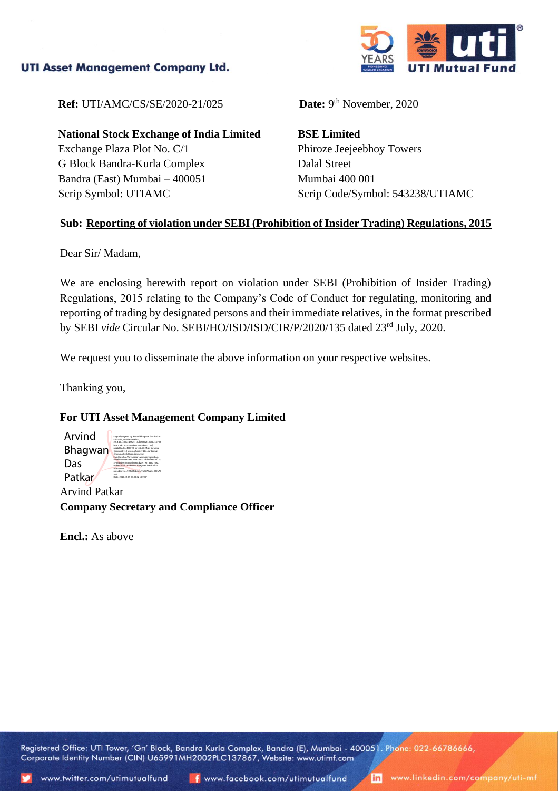## **UTI Asset Management Company Ltd.**



**Ref:** UTI/AMC/CS/SE/2020-21/025

**National Stock Exchange of India Limited** Exchange Plaza Plot No. C/1 G Block Bandra-Kurla Complex Bandra (East) Mumbai – 400051 Scrip Symbol: UTIAMC

Date:  $9<sup>th</sup>$  November, 2020

**BSE Limited** Phiroze Jeejeebhoy Towers Dalal Street Mumbai 400 001 Scrip Code/Symbol: 543238/UTIAMC

## **Sub: Reporting of violation under SEBI (Prohibition of Insider Trading) Regulations, 2015**

Dear Sir/ Madam,

We are enclosing herewith report on violation under SEBI (Prohibition of Insider Trading) Regulations, 2015 relating to the Company's Code of Conduct for regulating, monitoring and reporting of trading by designated persons and their immediate relatives, in the format prescribed by SEBI *vide* Circular No. SEBI/HO/ISD/ISD/CIR/P/2020/135 dated 23rd July, 2020.

We request you to disseminate the above information on your respective websites.

Thanking you,

## **For UTI Asset Management Company Limited**

| Arvind         | Digitally signed by Arvind Bhagwan Das Patkar<br>DN: c-IN, st-Maharashtra,<br>2.5.4.20m/30m/d75a51eh45f336afe0d8hre6232                                                                                   |
|----------------|-----------------------------------------------------------------------------------------------------------------------------------------------------------------------------------------------------------|
| <b>Bhagwan</b> | bb610cb73cc43566b01305c6b013137f.<br>postalCode-400098, street-602 Nav Swapna<br>Cooperative Housing Society Ltd. Santacruz<br>Chembur Link Road Santacruz<br>East, Mumbai, Vidyanagari, Mumbai Suburban, |
| Das            | sanialNumher=380206a765033dd3903c0rf11r<br>575546b0f1f551dcb03acd2341e61a457149a.<br>o-Personal, cn-Arvind Bhaowan Das Patkar.<br>title=0804.                                                             |
| Patkar         | pseudonym=9f9fc7fdbce4e9b6678ca7e099a70<br>254<br>Date: 2020.11.09 13:30:32 +05'30"                                                                                                                       |
|                |                                                                                                                                                                                                           |

Arvind Patkar **Company Secretary and Compliance Officer**

**Encl.:** As above

Registered Office: UTI Tower, 'Gn' Block, Bandra Kurla Complex, Bandra (E), Mumbai - 400051. Phone: 022-66786666, Corporate Identity Number (CIN) U65991MH2002PLC137867, Website: www.utimf.com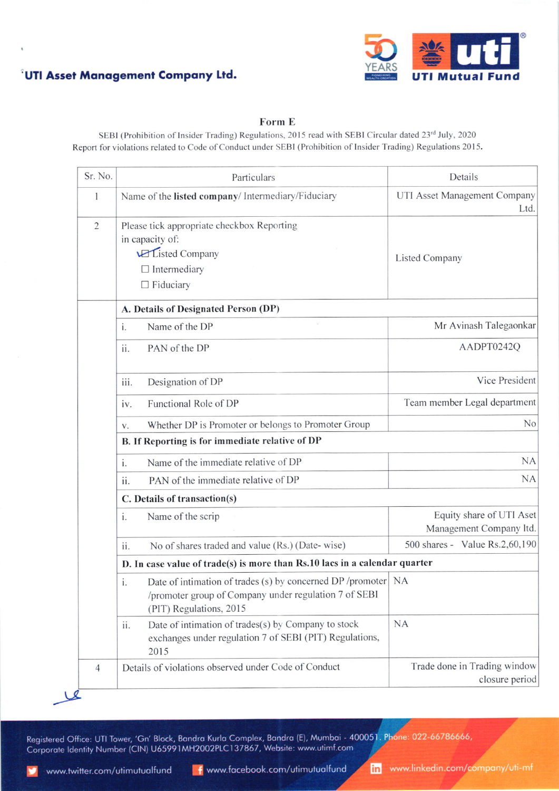



## Form E

SEBI (Prohibition of Insider Trading) Regulations, 2015 read with SEBI Circular dated 23rd July, 2020 Report for violations related to Code of Conduct under SEBI (Prohibition of lnsider Trading) Regulations 2015.

| Sr. No.        | Particulars                                                                                                                                             | Details                                             |  |  |
|----------------|---------------------------------------------------------------------------------------------------------------------------------------------------------|-----------------------------------------------------|--|--|
| 1              | Name of the listed company/ Intermediary/Fiduciary                                                                                                      | UTI Asset Management Company<br>Ltd.                |  |  |
| $\overline{2}$ | Please tick appropriate checkbox Reporting<br>in capacity of:<br><b>VEListed Company</b><br>$\Box$ Intermediary<br>$\Box$ Fiduciary                     | <b>Listed Company</b>                               |  |  |
|                | A. Details of Designated Person (DP)                                                                                                                    |                                                     |  |  |
|                | Name of the DP<br>i.                                                                                                                                    | Mr Avinash Talegaonkar                              |  |  |
|                | PAN of the DP<br>ii.                                                                                                                                    | AADPT0242Q                                          |  |  |
|                | Designation of DP<br>iii.                                                                                                                               | Vice President                                      |  |  |
|                | Functional Role of DP<br>iv.                                                                                                                            | Team member Legal department                        |  |  |
|                | Whether DP is Promoter or belongs to Promoter Group<br>V.                                                                                               | No                                                  |  |  |
|                | B. If Reporting is for immediate relative of DP                                                                                                         |                                                     |  |  |
|                | Name of the immediate relative of DP<br>i.                                                                                                              | <b>NA</b>                                           |  |  |
|                | PAN of the immediate relative of DP<br>ii.                                                                                                              | <b>NA</b>                                           |  |  |
|                | C. Details of transaction(s)                                                                                                                            |                                                     |  |  |
|                | Name of the scrip<br>i.                                                                                                                                 | Equity share of UTI Aset<br>Management Company ltd. |  |  |
|                | No of shares traded and value (Rs.) (Date-wise)<br>ii.                                                                                                  | 500 shares - Value Rs.2,60,190                      |  |  |
|                | D. In case value of trade(s) is more than Rs.10 lacs in a calendar quarter                                                                              |                                                     |  |  |
|                | Date of intimation of trades (s) by concerned DP /promoter NA<br>i.<br>/promoter group of Company under regulation 7 of SEBI<br>(PIT) Regulations, 2015 |                                                     |  |  |
|                | Date of intimation of trades(s) by Company to stock<br>ii.<br>exchanges under regulation 7 of SEBI (PIT) Regulations,<br>2015                           | <b>NA</b>                                           |  |  |
| 4              | Details of violations observed under Code of Conduct                                                                                                    | Trade done in Trading window<br>closure period      |  |  |

Registered Office: UTI Tower, 'Gn' Block, Bandra Kurla Complex, Bandra (E), Mumbai - 40005<mark>1. Pho</mark>ne: 022-66786666, Corporate Identity Number (CIN) U65991MH2002PLC137867, Website: www.utimf.com

www.twitter.com/utimutualfund | twww.facebook.com/utimutualfund | in www.linkedin.com/company/uti-mf

 $\triangle$